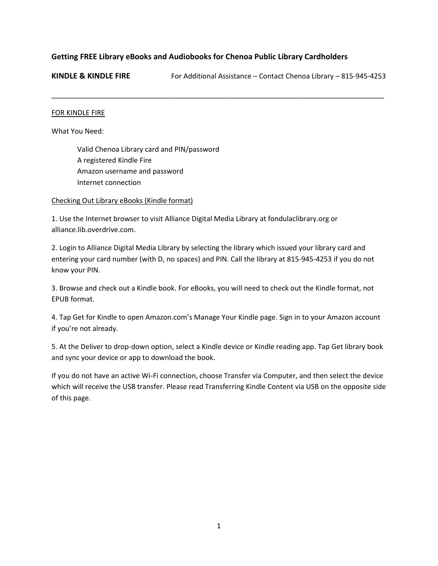# **Getting FREE Library eBooks and Audiobooks for Chenoa Public Library Cardholders**

**KINDLE & KINDLE FIRE** For Additional Assistance – Contact Chenoa Library – 815-945-4253

\_\_\_\_\_\_\_\_\_\_\_\_\_\_\_\_\_\_\_\_\_\_\_\_\_\_\_\_\_\_\_\_\_\_\_\_\_\_\_\_\_\_\_\_\_\_\_\_\_\_\_\_\_\_\_\_\_\_\_\_\_\_\_\_\_\_\_\_\_\_\_\_\_\_\_\_\_\_\_\_\_\_\_\_\_

#### FOR KINDLE FIRE

What You Need:

Valid Chenoa Library card and PIN/password A registered Kindle Fire Amazon username and password Internet connection

#### Checking Out Library eBooks (Kindle format)

1. Use the Internet browser to visit Alliance Digital Media Library at fondulaclibrary.org or alliance.lib.overdrive.com.

2. Login to Alliance Digital Media Library by selecting the library which issued your library card and entering your card number (with D, no spaces) and PIN. Call the library at 815-945-4253 if you do not know your PIN.

3. Browse and check out a Kindle book. For eBooks, you will need to check out the Kindle format, not EPUB format.

4. Tap Get for Kindle to open Amazon.com's Manage Your Kindle page. Sign in to your Amazon account if you're not already.

5. At the Deliver to drop-down option, select a Kindle device or Kindle reading app. Tap Get library book and sync your device or app to download the book.

If you do not have an active Wi-Fi connection, choose Transfer via Computer, and then select the device which will receive the USB transfer. Please read Transferring Kindle Content via USB on the opposite side of this page.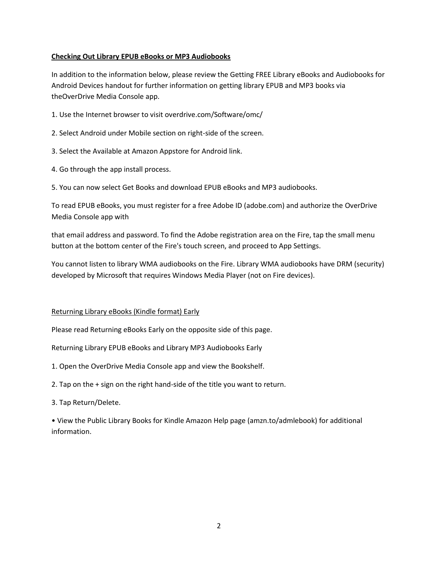## **Checking Out Library EPUB eBooks or MP3 Audiobooks**

In addition to the information below, please review the Getting FREE Library eBooks and Audiobooks for Android Devices handout for further information on getting library EPUB and MP3 books via theOverDrive Media Console app.

- 1. Use the Internet browser to visit overdrive.com/Software/omc/
- 2. Select Android under Mobile section on right-side of the screen.
- 3. Select the Available at Amazon Appstore for Android link.
- 4. Go through the app install process.
- 5. You can now select Get Books and download EPUB eBooks and MP3 audiobooks.

To read EPUB eBooks, you must register for a free Adobe ID (adobe.com) and authorize the OverDrive Media Console app with

that email address and password. To find the Adobe registration area on the Fire, tap the small menu button at the bottom center of the Fire's touch screen, and proceed to App Settings.

You cannot listen to library WMA audiobooks on the Fire. Library WMA audiobooks have DRM (security) developed by Microsoft that requires Windows Media Player (not on Fire devices).

### Returning Library eBooks (Kindle format) Early

Please read Returning eBooks Early on the opposite side of this page.

Returning Library EPUB eBooks and Library MP3 Audiobooks Early

- 1. Open the OverDrive Media Console app and view the Bookshelf.
- 2. Tap on the + sign on the right hand-side of the title you want to return.
- 3. Tap Return/Delete.

• View the Public Library Books for Kindle Amazon Help page (amzn.to/admlebook) for additional information.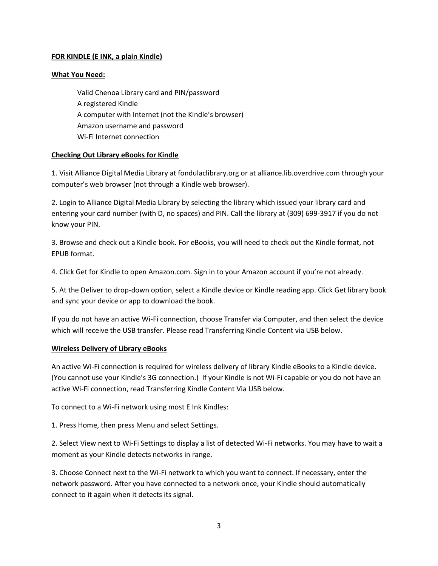## **FOR KINDLE (E INK, a plain Kindle)**

### **What You Need:**

Valid Chenoa Library card and PIN/password A registered Kindle A computer with Internet (not the Kindle's browser) Amazon username and password Wi-Fi Internet connection

## **Checking Out Library eBooks for Kindle**

1. Visit Alliance Digital Media Library at fondulaclibrary.org or at alliance.lib.overdrive.com through your computer's web browser (not through a Kindle web browser).

2. Login to Alliance Digital Media Library by selecting the library which issued your library card and entering your card number (with D, no spaces) and PIN. Call the library at (309) 699-3917 if you do not know your PIN.

3. Browse and check out a Kindle book. For eBooks, you will need to check out the Kindle format, not EPUB format.

4. Click Get for Kindle to open Amazon.com. Sign in to your Amazon account if you're not already.

5. At the Deliver to drop-down option, select a Kindle device or Kindle reading app. Click Get library book and sync your device or app to download the book.

If you do not have an active Wi-Fi connection, choose Transfer via Computer, and then select the device which will receive the USB transfer. Please read Transferring Kindle Content via USB below.

### **Wireless Delivery of Library eBooks**

An active Wi-Fi connection is required for wireless delivery of library Kindle eBooks to a Kindle device. (You cannot use your Kindle's 3G connection.) If your Kindle is not Wi-Fi capable or you do not have an active Wi-Fi connection, read Transferring Kindle Content Via USB below.

To connect to a Wi-Fi network using most E Ink Kindles:

1. Press Home, then press Menu and select Settings.

2. Select View next to Wi-Fi Settings to display a list of detected Wi-Fi networks. You may have to wait a moment as your Kindle detects networks in range.

3. Choose Connect next to the Wi-Fi network to which you want to connect. If necessary, enter the network password. After you have connected to a network once, your Kindle should automatically connect to it again when it detects its signal.